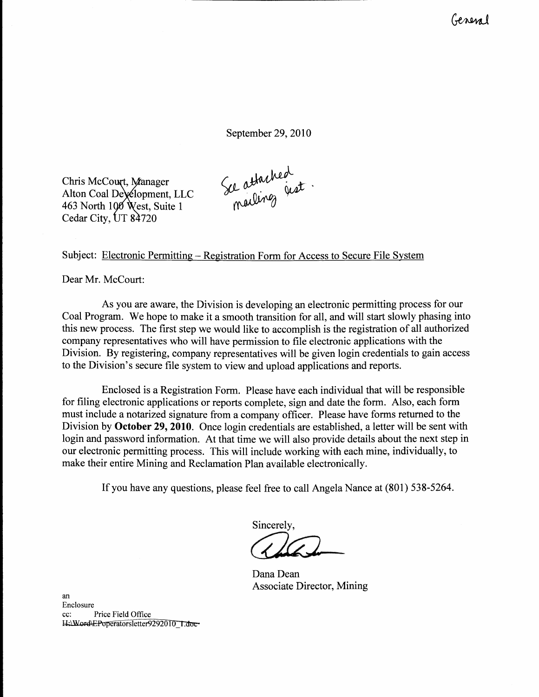General

September 29, 2010

Chris McCourt, Manager Alton Coal De\&lopment, LLC 463 North 100 West, Suite 1 Cedar City, UT 84720

Se attached

## Subject: Electronic Permitting - Registration Form for Access to Secure File System

Dear Mr. McCourt:

As you are aware, the Division is developing an electronic permitting process for our Coal Program. We hope to make it a smooth transition for all, and will start slowly phasing into this new process. The first step we would like to accomplish is the registration of all authorized company representatives who will have permission to file electronic applications with the Division. By registering, company representatives will be given login credentials to gain access to the Division's secure file system to view and upload applications and reports.

Enclosed is a Registration Form. Please have each individual that will be responsible for filing electronic applications or reports complete, sign and date the form. Also, each form must include a notarized signature from a company officer. Please have forms returned to the Division by October 29, 2010. Once login credentials are established, a letter will be sent with login and password information. At that time we will also provide details about the next step in our electronic permitting process. This will include working with each mine, individually, to make their entire Mining and Reclamation Plan available electronically.

If you have any questions, please feel free to call Angela Nance at (801) 538-5264.

Sincerely,

Dana Dean Associate Director, Mining

an Enclosure cc: Price Field Office<br>H:\Word\EPoperatorsletter9292010 1.doc-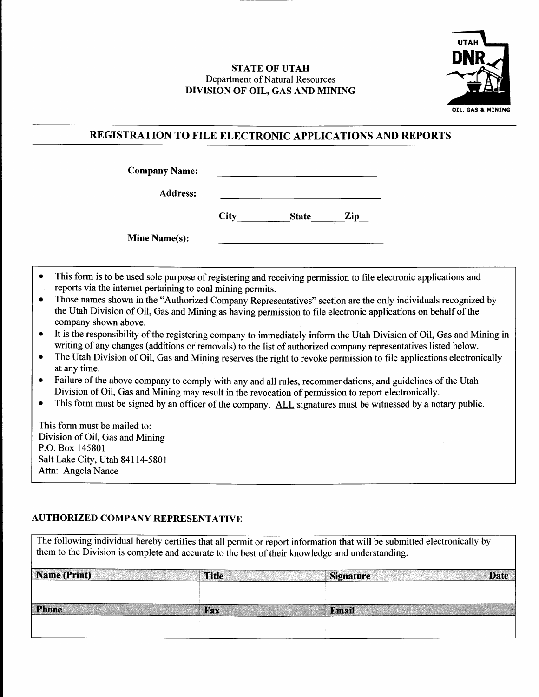## STATE OF UTAH Department of Natural Resources DWISION OF OIL. GAS AND MINING



## REGISTRATION TO FILE ELECTRONIC APPLICATIONS AND REPORTS

| <b>Company Name:</b> |             |              |     |
|----------------------|-------------|--------------|-----|
| <b>Address:</b>      |             |              |     |
|                      | <b>City</b> | <b>State</b> | Zip |
| <b>Mine Name(s):</b> |             |              |     |

- o This form is to be used sole purpose of registering and receiving permission to file electronic applications and reports via the internet pertaining to coal mining permits.
- o Those names shown in the "Authorized Company Representatives" section are the only individuals recognized by the Utah Division of Oil, Gas and Mining as having permission to file electronic applications on behalf of the company shown above.
- . It is the responsibility of the registering company to immediately inform the Utah Division of Oil, Gas and Mining in writing of any changes (additions or rernovals) to the list of authorized company representatives listed below.
- The Utah Division of Oil, Gas and Mining reserves the right to revoke permission to file applications electronically at any time.
- Failure of the above company to comply with any and all rules, recommendations, and guidelines of the Utah Division of Oil, Gas and Mining may result in the revocation of permission to report electronically.
- This form must be signed by an officer of the company. ALL signatures must be witnessed by a notary public.

This form must be mailed to: Division of Oil, Gas and Mining P.O. Box 145801 Salt Lake City, Utah 841 14-5801 Attn: Angela Nance

## AUTHORIZED COMPANY REPRESENTATIVE

| The following individual hereby certifies that all permit or report information that will be submitted electronically by<br>them to the Division is complete and accurate to the best of their knowledge and understanding. |              |                                 |  |  |
|-----------------------------------------------------------------------------------------------------------------------------------------------------------------------------------------------------------------------------|--------------|---------------------------------|--|--|
| Name (Print)                                                                                                                                                                                                                | <b>Title</b> | <b>Date</b><br><b>Signature</b> |  |  |
| <b>Phone</b>                                                                                                                                                                                                                | Fax          | <b>Email</b>                    |  |  |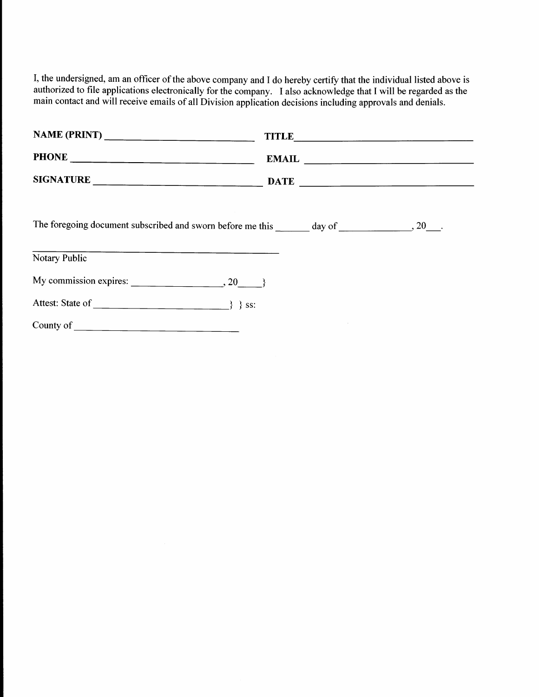I, the undersigned, am an officer of the above company and I do hereby certify that the individual listed above is authorized to file applications electronically for the company. I also acknowledge that I will be regarded as the main contact and will receive emails of all Division application decisions including approvals and denials.

| NAME (PRINT) ___________________________ | TITLE                                                 |
|------------------------------------------|-------------------------------------------------------|
|                                          | $\pmb{\quad \text{EMAIL} \quad \quad \quad } \quad }$ |
|                                          |                                                       |
|                                          |                                                       |
| <b>Notary Public</b>                     |                                                       |
| My commission expires: $\_\_$ , 20, 3    |                                                       |
|                                          |                                                       |
|                                          |                                                       |